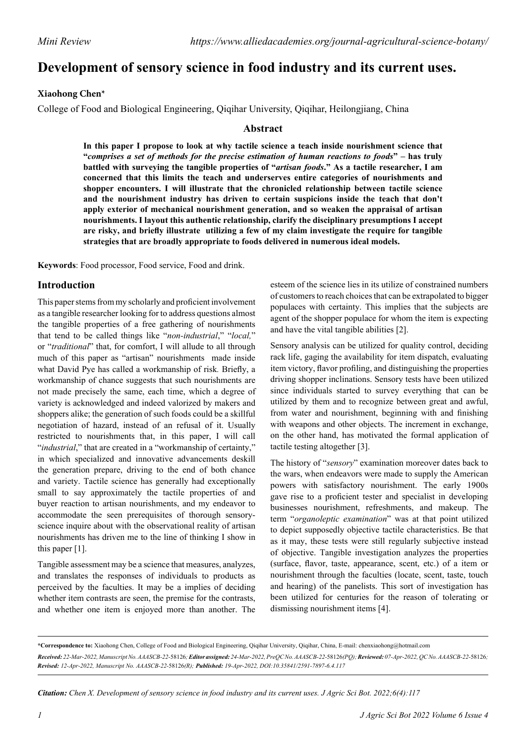# **Development of sensory science in food industry and its current uses.**

#### **Xiaohong Chen\***

College of Food and Biological Engineering, Qiqihar University, Qiqihar, Heilongjiang, China

#### **Abstract**

**In this paper I propose to look at why tactile science a teach inside nourishment science that "***comprises a set of methods for the precise estimation of human reactions to foods***" – has truly battled with surveying the tangible properties of "***artisan foods***." As a tactile researcher, I am concerned that this limits the teach and underserves entire categories of nourishments and shopper encounters. I will illustrate that the chronicled relationship between tactile science and the nourishment industry has driven to certain suspicions inside the teach that don't apply exterior of mechanical nourishment generation, and so weaken the appraisal of artisan nourishments. I layout this authentic relationship, clarify the disciplinary presumptions I accept are risky, and briefly illustrate utilizing a few of my claim investigate the require for tangible strategies that are broadly appropriate to foods delivered in numerous ideal models.**

**Keywords**: Food processor, Food service, Food and drink.

### **Introduction**

This paper stems from my scholarly and proficient involvement as a tangible researcher looking for to address questions almost the tangible properties of a free gathering of nourishments that tend to be called things like "*non-industrial*," "*local,*" or "*traditional*" that, for comfort, I will allude to all through much of this paper as "artisan" nourishments made inside what David Pye has called a workmanship of risk*.* Briefly, a workmanship of chance suggests that such nourishments are not made precisely the same, each time, which a degree of variety is acknowledged and indeed valorized by makers and shoppers alike; the generation of such foods could be a skillful negotiation of hazard, instead of an refusal of it. Usually restricted to nourishments that, in this paper, I will call "*industrial*," that are created in a "workmanship of certainty," in which specialized and innovative advancements deskill the generation prepare, driving to the end of both chance and variety. Tactile science has generally had exceptionally small to say approximately the tactile properties of and buyer reaction to artisan nourishments, and my endeavor to accommodate the seen prerequisites of thorough sensoryscience inquire about with the observational reality of artisan nourishments has driven me to the line of thinking I show in this paper [1].

Tangible assessment may be a science that measures, analyzes, and translates the responses of individuals to products as perceived by the faculties. It may be a implies of deciding whether item contrasts are seen, the premise for the contrasts, and whether one item is enjoyed more than another. The

esteem of the science lies in its utilize of constrained numbers of customers to reach choices that can be extrapolated to bigger populaces with certainty. This implies that the subjects are agent of the shopper populace for whom the item is expecting and have the vital tangible abilities [2].

Sensory analysis can be utilized for quality control, deciding rack life, gaging the availability for item dispatch, evaluating item victory, flavor profiling, and distinguishing the properties driving shopper inclinations. Sensory tests have been utilized since individuals started to survey everything that can be utilized by them and to recognize between great and awful, from water and nourishment, beginning with and finishing with weapons and other objects. The increment in exchange, on the other hand, has motivated the formal application of tactile testing altogether [3].

The history of "*sensory*" examination moreover dates back to the wars, when endeavors were made to supply the American powers with satisfactory nourishment. The early 1900s gave rise to a proficient tester and specialist in developing businesses nourishment, refreshments, and makeup. The term "*organoleptic examination*" was at that point utilized to depict supposedly objective tactile characteristics. Be that as it may, these tests were still regularly subjective instead of objective. Tangible investigation analyzes the properties (surface, flavor, taste, appearance, scent, etc.) of a item or nourishment through the faculties (locate, scent, taste, touch and hearing) of the panelists. This sort of investigation has been utilized for centuries for the reason of tolerating or dismissing nourishment items [4].

**\*Correspondence to:** Xiaohong Chen, College of Food and Biological Engineering, Qiqihar University, Qiqihar, China, E-mail: chenxiaohong@hotmail.com *Received: 22-Mar-2022, Manuscript No. AAASCB-22-*58126*;Editor assigned: 24-Mar-2022, PreQC No. AAASCB-22-*58126*(PQ);Reviewed: 07-Apr-2022, QC No. AAASCB-22-*58126*; Revised: 12-Apr-2022, Manuscript No. AAASCB-22-*58126*(R); Published: 19-Apr-2022, DOI:10.35841/2591-7897-6.4.117*

*Citation: Chen X. Development of sensory science in food industry and its current uses. J Agric Sci Bot. 2022;6(4):117*